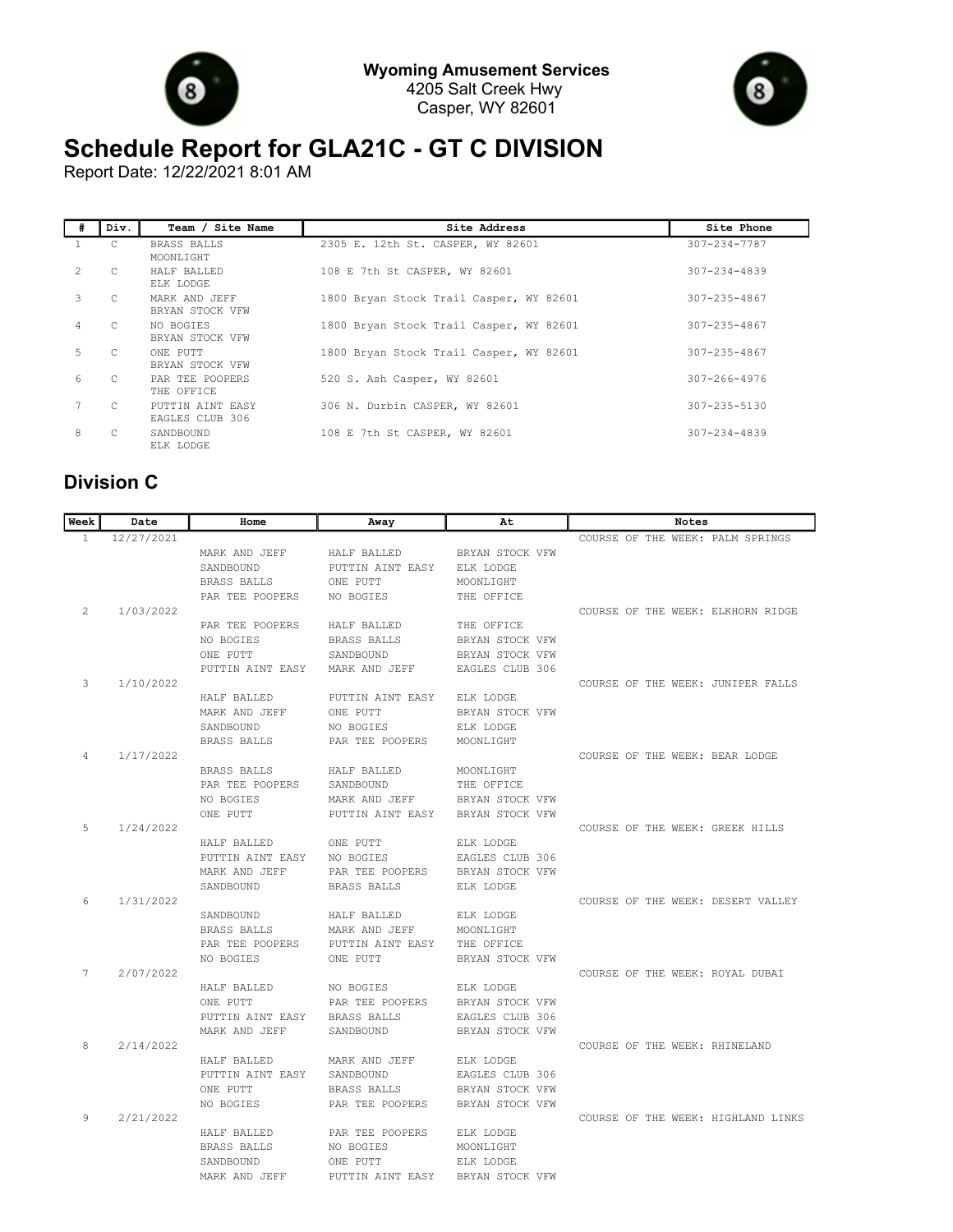



## **Schedule Report for GLA21C - GT C DIVISION**

Report Date: 12/22/2021 8:01 AM

|    | Div.          | Team / Site Name                    | Site Address                            | Site Phone         |
|----|---------------|-------------------------------------|-----------------------------------------|--------------------|
|    | $\mathcal{C}$ | BRASS BALLS<br>MOONLIGHT            | 2305 E. 12th St. CASPER, WY 82601       | 307-234-7787       |
| 2. | C.            | HALF BALLED<br>ELK LODGE            | 108 E 7th St CASPER, WY 82601           | 307-234-4839       |
| 3  |               | MARK AND JEFF<br>BRYAN STOCK VFW    | 1800 Bryan Stock Trail Casper, WY 82601 | 307-235-4867       |
| 4  | $\mathcal{C}$ | NO BOGIES<br>BRYAN STOCK VFW        | 1800 Bryan Stock Trail Casper, WY 82601 | $307 - 235 - 4867$ |
| 5  | C.            | ONE PUTT<br>BRYAN STOCK VFW         | 1800 Bryan Stock Trail Casper, WY 82601 | 307-235-4867       |
| 6  | $\mathcal{C}$ | PAR TEE POOPERS<br>THE OFFICE       | 520 S. Ash Casper, WY 82601             | $307 - 266 - 4976$ |
|    | C.            | PUTTIN AINT EASY<br>EAGLES CLUB 306 | 306 N. Durbin CASPER, WY 82601          | $307 - 235 - 5130$ |
| 8  | C.            | SANDBOUND<br>ELK LODGE              | 108 E 7th St CASPER, WY 82601           | $307 - 234 - 4839$ |

## **Division C**

| Week           | Date       | Home                       | Away                         | At                                 | <b>Notes</b>                       |
|----------------|------------|----------------------------|------------------------------|------------------------------------|------------------------------------|
| 1              | 12/27/2021 |                            |                              |                                    | COURSE OF THE WEEK: PALM SPRINGS   |
|                |            | MARK AND JEFF              | HALF BALLED                  | BRYAN STOCK VFW                    |                                    |
|                |            | SANDBOUND                  | PUTTIN AINT EASY             | ELK LODGE                          |                                    |
|                |            | BRASS BALLS                | ONE PUTT                     | MOONLIGHT                          |                                    |
|                |            | PAR TEE POOPERS            | NO BOGIES                    | THE OFFICE                         |                                    |
| $\mathfrak{D}$ | 1/03/2022  |                            |                              |                                    | COURSE OF THE WEEK: ELKHORN RIDGE  |
|                |            | PAR TEE POOPERS            | HALF BALLED                  | THE OFFICE                         |                                    |
|                |            | NO BOGIES                  | <b>BRASS BALLS</b>           | BRYAN STOCK VFW                    |                                    |
|                |            | ONE PUTT                   | SANDBOUND                    | BRYAN STOCK VFW                    |                                    |
|                |            | PUTTIN AINT EASY           | MARK AND JEFF                | EAGLES CLUB 306                    |                                    |
| 3              | 1/10/2022  |                            |                              |                                    | COURSE OF THE WEEK: JUNIPER FALLS  |
|                |            | HALF BALLED                | PUTTIN AINT EASY             | ELK LODGE                          |                                    |
|                |            | MARK AND JEFF              | ONE PUTT                     | BRYAN STOCK VFW                    |                                    |
|                |            | SANDBOUND                  | NO BOGIES                    | ELK LODGE                          |                                    |
|                |            | BRASS BALLS                | PAR TEE POOPERS              | MOONLIGHT                          |                                    |
| 4              | 1/17/2022  |                            |                              |                                    | COURSE OF THE WEEK: BEAR LODGE     |
|                |            | BRASS BALLS                | HALF BALLED                  | MOONLIGHT                          |                                    |
|                |            | PAR TEE POOPERS            | SANDBOUND                    | THE OFFICE                         |                                    |
|                |            | NO BOGIES                  | MARK AND JEFF                | BRYAN STOCK VFW                    |                                    |
|                |            | ONE PUTT                   | PUTTIN AINT EASY             | BRYAN STOCK VFW                    |                                    |
| 5              | 1/24/2022  |                            |                              |                                    | COURSE OF THE WEEK: GREEK HILLS    |
|                |            | HALF BALLED                | ONE PUTT                     | ELK LODGE                          |                                    |
|                |            | PUTTIN AINT EASY           | NO BOGIES<br>PAR TEE POOPERS | EAGLES CLUB 306<br>BRYAN STOCK VFW |                                    |
|                |            | MARK AND JEFF<br>SANDBOUND | <b>BRASS BALLS</b>           | ELK LODGE                          |                                    |
| 6              | 1/31/2022  |                            |                              |                                    | COURSE OF THE WEEK: DESERT VALLEY  |
|                |            | SANDBOUND                  | HALF BALLED                  | ELK LODGE                          |                                    |
|                |            | BRASS BALLS                | MARK AND JEFF                | MOONLIGHT                          |                                    |
|                |            | PAR TEE POOPERS            | PUTTIN AINT EASY             | THE OFFICE                         |                                    |
|                |            | NO BOGIES                  | ONE PUTT                     | BRYAN STOCK VFW                    |                                    |
| 7              | 2/07/2022  |                            |                              |                                    | COURSE OF THE WEEK: ROYAL DUBAI    |
|                |            | HALF BALLED                | NO BOGIES                    | ELK LODGE                          |                                    |
|                |            | ONE PUTT                   | PAR TEE POOPERS              | BRYAN STOCK VFW                    |                                    |
|                |            | PUTTIN AINT EASY           | <b>BRASS BALLS</b>           | EAGLES CLUB 306                    |                                    |
|                |            | MARK AND JEFF              | SANDBOUND                    | BRYAN STOCK VFW                    |                                    |
| 8              | 2/14/2022  |                            |                              |                                    | COURSE OF THE WEEK: RHINELAND      |
|                |            | HALF BALLED                | MARK AND JEFF                | ELK LODGE                          |                                    |
|                |            | PUTTIN AINT EASY           | SANDBOUND                    | EAGLES CLUB 306                    |                                    |
|                |            | ONE PUTT                   | BRASS BALLS                  | BRYAN STOCK VFW                    |                                    |
|                |            | NO BOGIES                  | PAR TEE POOPERS              | BRYAN STOCK VFW                    |                                    |
| 9              | 2/21/2022  |                            |                              |                                    | COURSE OF THE WEEK: HIGHLAND LINKS |
|                |            | HALF BALLED                | PAR TEE POOPERS              | ELK LODGE                          |                                    |
|                |            | BRASS BALLS                | NO BOGIES                    | MOONLIGHT                          |                                    |
|                |            | SANDBOUND                  | ONE PUTT                     | ELK LODGE                          |                                    |
|                |            | MARK AND JEFF              | PUTTIN AINT EASY             | BRYAN STOCK VFW                    |                                    |